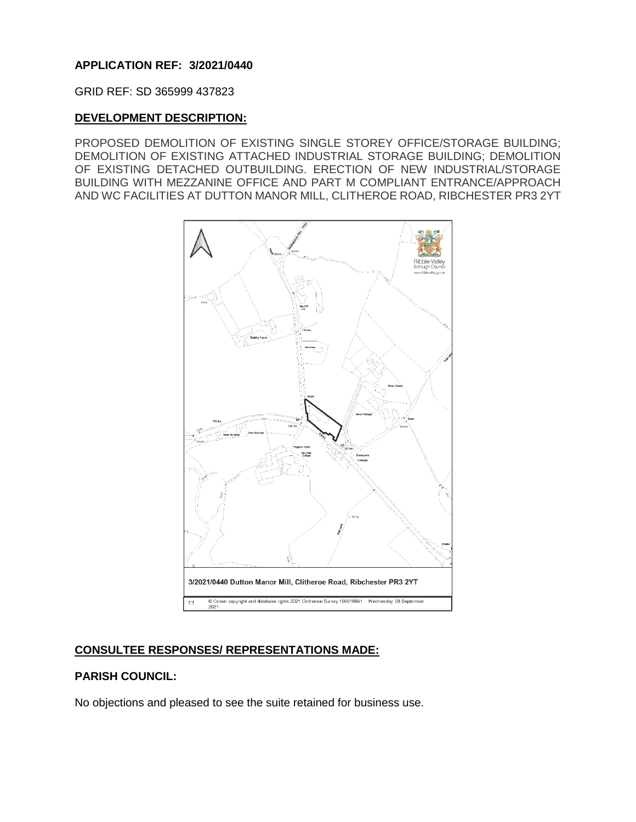## **APPLICATION REF: 3/2021/0440**

GRID REF: SD 365999 437823

### **DEVELOPMENT DESCRIPTION:**

PROPOSED DEMOLITION OF EXISTING SINGLE STOREY OFFICE/STORAGE BUILDING; DEMOLITION OF EXISTING ATTACHED INDUSTRIAL STORAGE BUILDING; DEMOLITION OF EXISTING DETACHED OUTBUILDING. ERECTION OF NEW INDUSTRIAL/STORAGE BUILDING WITH MEZZANINE OFFICE AND PART M COMPLIANT ENTRANCE/APPROACH AND WC FACILITIES AT DUTTON MANOR MILL, CLITHEROE ROAD, RIBCHESTER PR3 2YT



# **CONSULTEE RESPONSES/ REPRESENTATIONS MADE:**

## **PARISH COUNCIL:**

No objections and pleased to see the suite retained for business use.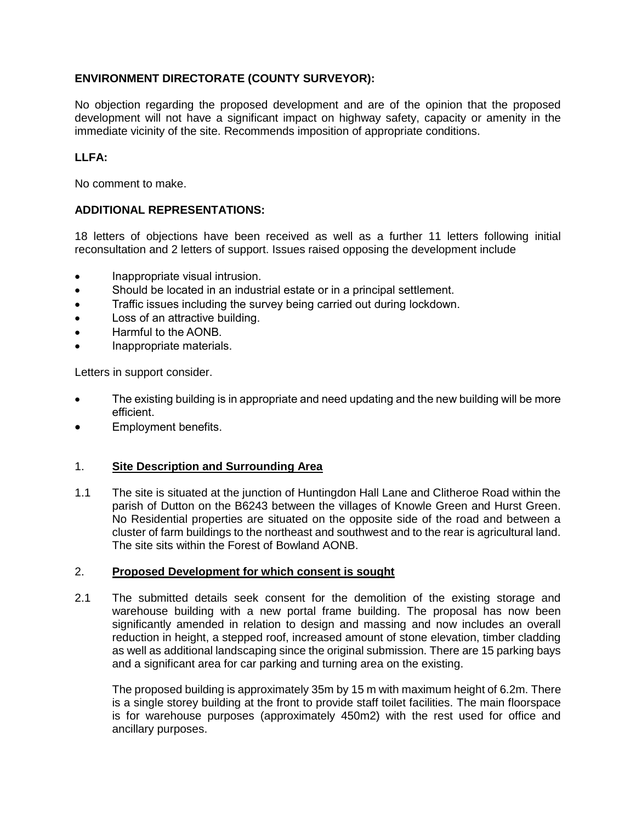## **ENVIRONMENT DIRECTORATE (COUNTY SURVEYOR):**

No objection regarding the proposed development and are of the opinion that the proposed development will not have a significant impact on highway safety, capacity or amenity in the immediate vicinity of the site. Recommends imposition of appropriate conditions.

## **LLFA:**

No comment to make.

## **ADDITIONAL REPRESENTATIONS:**

18 letters of objections have been received as well as a further 11 letters following initial reconsultation and 2 letters of support. Issues raised opposing the development include

- Inappropriate visual intrusion.
- Should be located in an industrial estate or in a principal settlement.
- Traffic issues including the survey being carried out during lockdown.
- Loss of an attractive building.
- Harmful to the AONB.
- Inappropriate materials.

Letters in support consider.

- The existing building is in appropriate and need updating and the new building will be more efficient.
- Employment benefits.

## 1. **Site Description and Surrounding Area**

1.1 The site is situated at the junction of Huntingdon Hall Lane and Clitheroe Road within the parish of Dutton on the B6243 between the villages of Knowle Green and Hurst Green. No Residential properties are situated on the opposite side of the road and between a cluster of farm buildings to the northeast and southwest and to the rear is agricultural land. The site sits within the Forest of Bowland AONB.

#### 2. **Proposed Development for which consent is sought**

2.1 The submitted details seek consent for the demolition of the existing storage and warehouse building with a new portal frame building. The proposal has now been significantly amended in relation to design and massing and now includes an overall reduction in height, a stepped roof, increased amount of stone elevation, timber cladding as well as additional landscaping since the original submission. There are 15 parking bays and a significant area for car parking and turning area on the existing.

The proposed building is approximately 35m by 15 m with maximum height of 6.2m. There is a single storey building at the front to provide staff toilet facilities. The main floorspace is for warehouse purposes (approximately 450m2) with the rest used for office and ancillary purposes.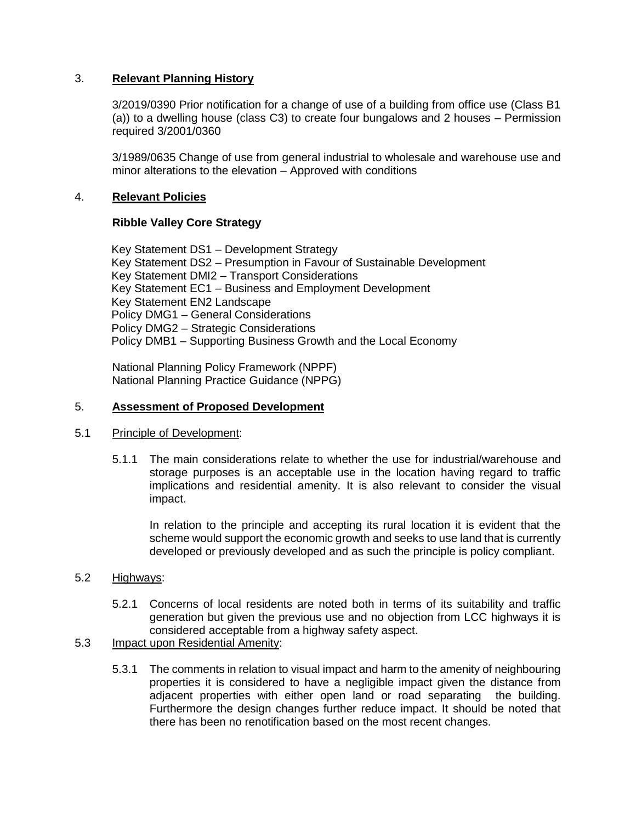### 3. **Relevant Planning History**

3/2019/0390 Prior notification for a change of use of a building from office use (Class B1 (a)) to a dwelling house (class C3) to create four bungalows and 2 houses – Permission required 3/2001/0360

3/1989/0635 Change of use from general industrial to wholesale and warehouse use and minor alterations to the elevation – Approved with conditions

### 4. **Relevant Policies**

### **Ribble Valley Core Strategy**

Key Statement DS1 – Development Strategy Key Statement DS2 – Presumption in Favour of Sustainable Development Key Statement DMI2 – Transport Considerations Key Statement EC1 – Business and Employment Development Key Statement EN2 Landscape Policy DMG1 – General Considerations Policy DMG2 – Strategic Considerations Policy DMB1 – Supporting Business Growth and the Local Economy

National Planning Policy Framework (NPPF) National Planning Practice Guidance (NPPG)

### 5. **Assessment of Proposed Development**

#### 5.1 Principle of Development:

5.1.1 The main considerations relate to whether the use for industrial/warehouse and storage purposes is an acceptable use in the location having regard to traffic implications and residential amenity. It is also relevant to consider the visual impact.

In relation to the principle and accepting its rural location it is evident that the scheme would support the economic growth and seeks to use land that is currently developed or previously developed and as such the principle is policy compliant.

#### 5.2 Highways:

5.2.1 Concerns of local residents are noted both in terms of its suitability and traffic generation but given the previous use and no objection from LCC highways it is considered acceptable from a highway safety aspect.

### 5.3 Impact upon Residential Amenity:

5.3.1 The comments in relation to visual impact and harm to the amenity of neighbouring properties it is considered to have a negligible impact given the distance from adjacent properties with either open land or road separating the building. Furthermore the design changes further reduce impact. It should be noted that there has been no renotification based on the most recent changes.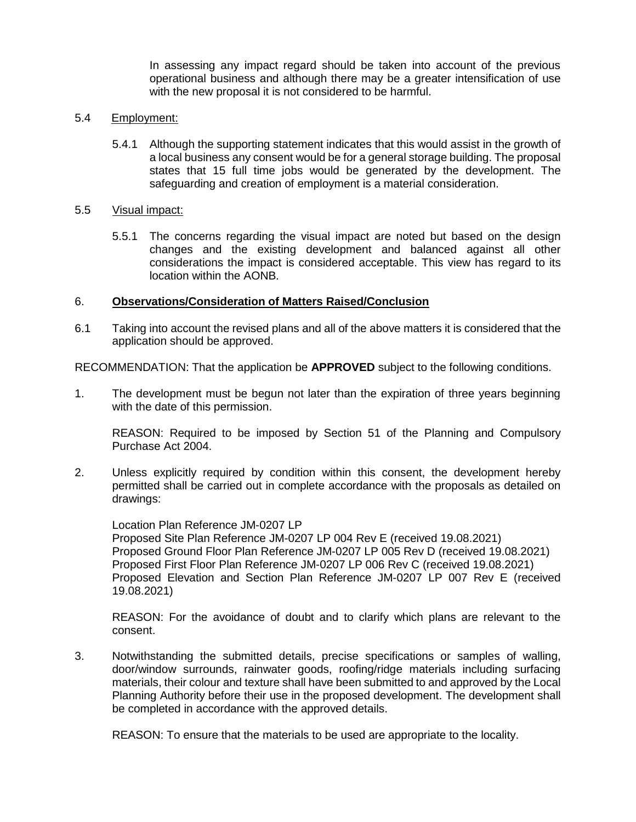In assessing any impact regard should be taken into account of the previous operational business and although there may be a greater intensification of use with the new proposal it is not considered to be harmful.

#### 5.4 Employment:

5.4.1 Although the supporting statement indicates that this would assist in the growth of a local business any consent would be for a general storage building. The proposal states that 15 full time jobs would be generated by the development. The safeguarding and creation of employment is a material consideration.

#### 5.5 Visual impact:

5.5.1 The concerns regarding the visual impact are noted but based on the design changes and the existing development and balanced against all other considerations the impact is considered acceptable. This view has regard to its location within the AONB.

#### 6. **Observations/Consideration of Matters Raised/Conclusion**

6.1 Taking into account the revised plans and all of the above matters it is considered that the application should be approved.

RECOMMENDATION: That the application be **APPROVED** subject to the following conditions.

1. The development must be begun not later than the expiration of three years beginning with the date of this permission.

REASON: Required to be imposed by Section 51 of the Planning and Compulsory Purchase Act 2004.

2. Unless explicitly required by condition within this consent, the development hereby permitted shall be carried out in complete accordance with the proposals as detailed on drawings:

Location Plan Reference JM-0207 LP Proposed Site Plan Reference JM-0207 LP 004 Rev E (received 19.08.2021) Proposed Ground Floor Plan Reference JM-0207 LP 005 Rev D (received 19.08.2021) Proposed First Floor Plan Reference JM-0207 LP 006 Rev C (received 19.08.2021) Proposed Elevation and Section Plan Reference JM-0207 LP 007 Rev E (received 19.08.2021)

REASON: For the avoidance of doubt and to clarify which plans are relevant to the consent.

3. Notwithstanding the submitted details, precise specifications or samples of walling, door/window surrounds, rainwater goods, roofing/ridge materials including surfacing materials, their colour and texture shall have been submitted to and approved by the Local Planning Authority before their use in the proposed development. The development shall be completed in accordance with the approved details.

REASON: To ensure that the materials to be used are appropriate to the locality.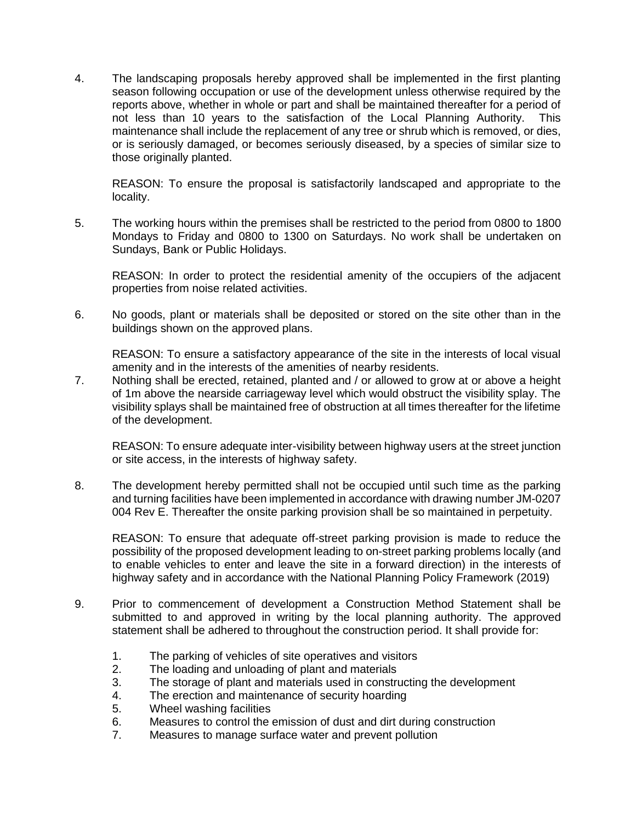4. The landscaping proposals hereby approved shall be implemented in the first planting season following occupation or use of the development unless otherwise required by the reports above, whether in whole or part and shall be maintained thereafter for a period of not less than 10 years to the satisfaction of the Local Planning Authority. This maintenance shall include the replacement of any tree or shrub which is removed, or dies, or is seriously damaged, or becomes seriously diseased, by a species of similar size to those originally planted.

REASON: To ensure the proposal is satisfactorily landscaped and appropriate to the locality.

5. The working hours within the premises shall be restricted to the period from 0800 to 1800 Mondays to Friday and 0800 to 1300 on Saturdays. No work shall be undertaken on Sundays, Bank or Public Holidays.

REASON: In order to protect the residential amenity of the occupiers of the adjacent properties from noise related activities.

6. No goods, plant or materials shall be deposited or stored on the site other than in the buildings shown on the approved plans.

REASON: To ensure a satisfactory appearance of the site in the interests of local visual amenity and in the interests of the amenities of nearby residents.

7. Nothing shall be erected, retained, planted and / or allowed to grow at or above a height of 1m above the nearside carriageway level which would obstruct the visibility splay. The visibility splays shall be maintained free of obstruction at all times thereafter for the lifetime of the development.

REASON: To ensure adequate inter-visibility between highway users at the street junction or site access, in the interests of highway safety.

8. The development hereby permitted shall not be occupied until such time as the parking and turning facilities have been implemented in accordance with drawing number JM-0207 004 Rev E. Thereafter the onsite parking provision shall be so maintained in perpetuity.

REASON: To ensure that adequate off-street parking provision is made to reduce the possibility of the proposed development leading to on-street parking problems locally (and to enable vehicles to enter and leave the site in a forward direction) in the interests of highway safety and in accordance with the National Planning Policy Framework (2019)

- 9. Prior to commencement of development a Construction Method Statement shall be submitted to and approved in writing by the local planning authority. The approved statement shall be adhered to throughout the construction period. It shall provide for:
	- 1. The parking of vehicles of site operatives and visitors
	- 2. The loading and unloading of plant and materials
	- 3. The storage of plant and materials used in constructing the development
	- 4. The erection and maintenance of security hoarding
	- 5. Wheel washing facilities
	- 6. Measures to control the emission of dust and dirt during construction
	- 7. Measures to manage surface water and prevent pollution